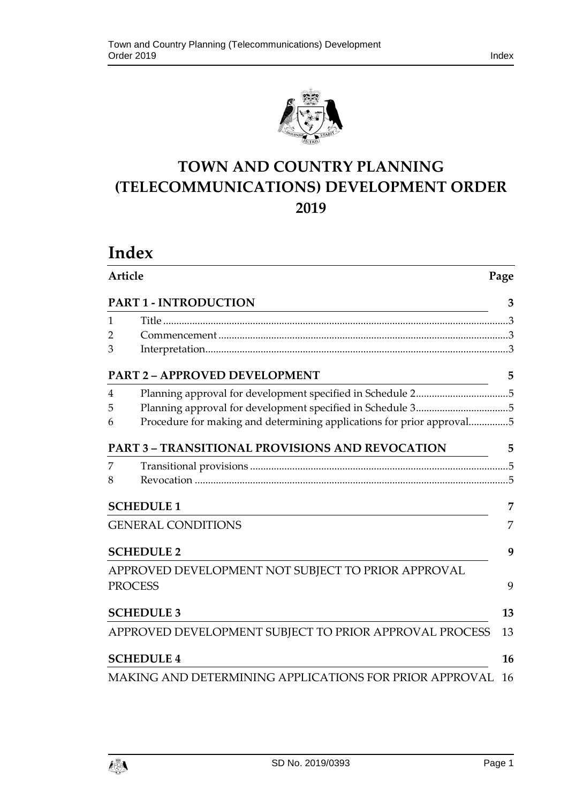

# **TOWN AND COUNTRY PLANNING (TELECOMMUNICATIONS) DEVELOPMENT ORDER 2019**

# **Index**

| Article        |                                                                       | Page |  |
|----------------|-----------------------------------------------------------------------|------|--|
|                | <b>PART 1 - INTRODUCTION</b>                                          | 3    |  |
| 1              |                                                                       |      |  |
| 2              |                                                                       |      |  |
| 3              |                                                                       |      |  |
|                | <b>PART 2 - APPROVED DEVELOPMENT</b>                                  | 5    |  |
| $\overline{4}$ | Planning approval for development specified in Schedule 25            |      |  |
| 5              | Planning approval for development specified in Schedule 35            |      |  |
| 6              | Procedure for making and determining applications for prior approval5 |      |  |
|                | <b>PART 3 - TRANSITIONAL PROVISIONS AND REVOCATION</b>                | 5    |  |
| 7              |                                                                       |      |  |
| 8              |                                                                       |      |  |
|                | <b>SCHEDULE 1</b>                                                     | 7    |  |
|                | <b>GENERAL CONDITIONS</b>                                             | 7    |  |
|                | <b>SCHEDULE 2</b>                                                     | 9    |  |
|                | APPROVED DEVELOPMENT NOT SUBJECT TO PRIOR APPROVAL                    |      |  |
|                | <b>PROCESS</b>                                                        | 9    |  |
|                | <b>SCHEDULE 3</b>                                                     | 13   |  |
|                | APPROVED DEVELOPMENT SUBJECT TO PRIOR APPROVAL PROCESS                | 13   |  |
|                | <b>SCHEDULE 4</b>                                                     | 16   |  |
|                | MAKING AND DETERMINING APPLICATIONS FOR PRIOR APPROVAL                | 16   |  |

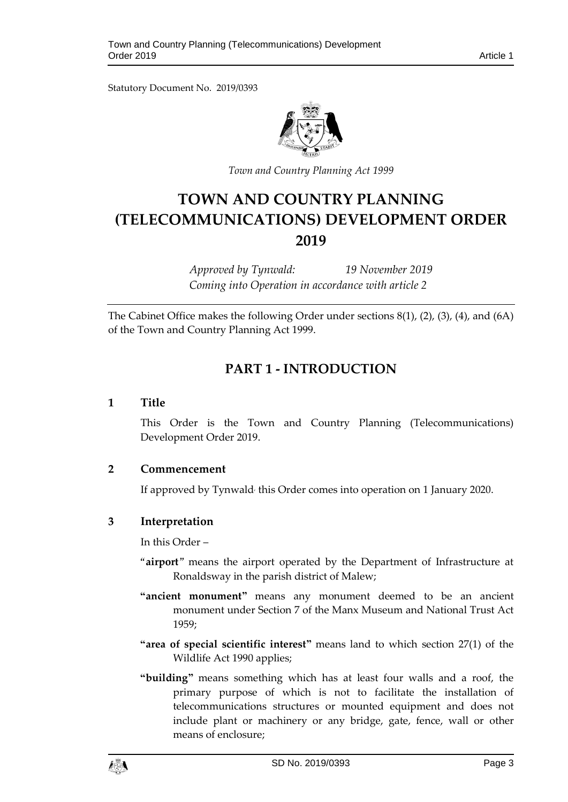Statutory Document No. 2019/0393



*Town and Country Planning Act 1999*

# **TOWN AND COUNTRY PLANNING (TELECOMMUNICATIONS) DEVELOPMENT ORDER 2019**

*Approved by Tynwald: 19 November 2019 Coming into Operation in accordance with article 2*

<span id="page-2-0"></span>The Cabinet Office makes the following Order under sections 8(1), (2), (3), (4), and (6A) of the Town and Country Planning Act 1999.

## **PART 1 - INTRODUCTION**

#### <span id="page-2-1"></span>**1 Title**

This Order is the Town and Country Planning (Telecommunications) Development Order 2019.

#### <span id="page-2-2"></span>**2 Commencement**

If approved by Tynwald<sup>,</sup> this Order comes into operation on 1 January 2020.

### <span id="page-2-3"></span>**3 Interpretation**

In this Order –

- "**airport**" means the airport operated by the Department of Infrastructure at Ronaldsway in the parish district of Malew;
- **"ancient monument"** means any monument deemed to be an ancient monument under Section 7 of the Manx Museum and National Trust Act 1959;
- **"area of special scientific interest"** means land to which section 27(1) of the Wildlife Act 1990 applies;
- **"building"** means something which has at least four walls and a roof, the primary purpose of which is not to facilitate the installation of telecommunications structures or mounted equipment and does not include plant or machinery or any bridge, gate, fence, wall or other means of enclosure;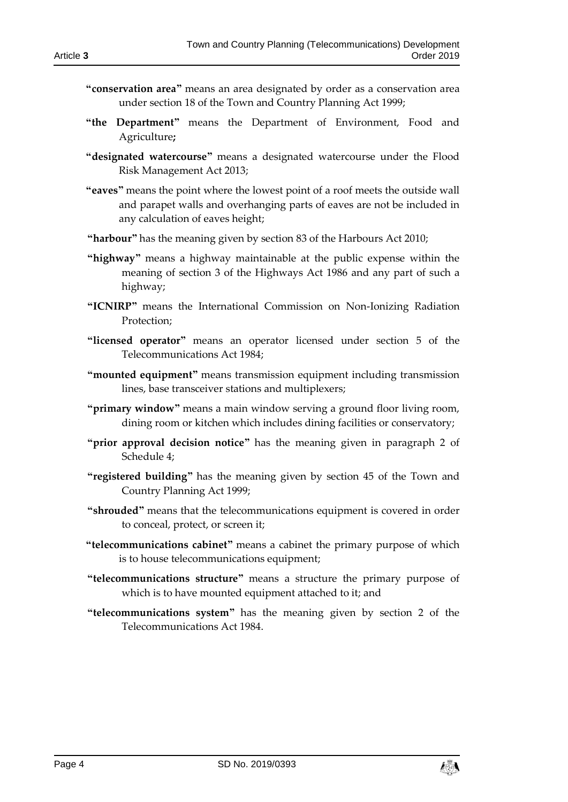- **"conservation area"** means an area designated by order as a conservation area under section 18 of the Town and Country Planning Act 1999;
- **"the Department"** means the Department of Environment, Food and Agriculture**;**
- **"designated watercourse"** means a designated watercourse under the Flood Risk Management Act 2013;
- **"eaves"** means the point where the lowest point of a roof meets the outside wall and parapet walls and overhanging parts of eaves are not be included in any calculation of eaves height;
- **"harbour"** has the meaning given by section 83 of the Harbours Act 2010;
- **"highway"** means a highway maintainable at the public expense within the meaning of section 3 of the Highways Act 1986 and any part of such a highway;
- **"ICNIRP"** means the International Commission on Non-Ionizing Radiation Protection;
- **"licensed operator"** means an operator licensed under section 5 of the Telecommunications Act 1984;
- **"mounted equipment"** means transmission equipment including transmission lines, base transceiver stations and multiplexers;
- **"primary window"** means a main window serving a ground floor living room, dining room or kitchen which includes dining facilities or conservatory;
- **"prior approval decision notice"** has the meaning given in paragraph 2 of Schedule 4;
- **"registered building"** has the meaning given by section 45 of the Town and Country Planning Act 1999;
- **"shrouded"** means that the telecommunications equipment is covered in order to conceal, protect, or screen it;
- **"telecommunications cabinet"** means a cabinet the primary purpose of which is to house telecommunications equipment;
- **"telecommunications structure"** means a structure the primary purpose of which is to have mounted equipment attached to it; and
- **"telecommunications system"** has the meaning given by section 2 of the Telecommunications Act 1984.

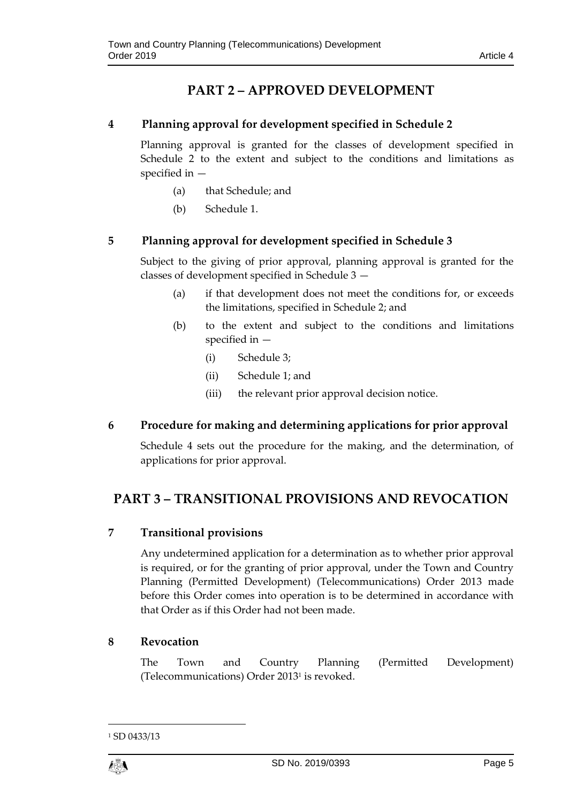## **PART 2 – APPROVED DEVELOPMENT**

### <span id="page-4-1"></span><span id="page-4-0"></span>**4 Planning approval for development specified in Schedule 2**

Planning approval is granted for the classes of development specified in Schedule 2 to the extent and subject to the conditions and limitations as specified in —

- (a) that Schedule; and
- (b) Schedule 1.

## <span id="page-4-2"></span>**5 Planning approval for development specified in Schedule 3**

Subject to the giving of prior approval, planning approval is granted for the classes of development specified in Schedule 3 —

- (a) if that development does not meet the conditions for, or exceeds the limitations, specified in Schedule 2; and
- (b) to the extent and subject to the conditions and limitations specified in —
	- (i) Schedule 3;
	- (ii) Schedule 1; and
	- (iii) the relevant prior approval decision notice.
- <span id="page-4-3"></span>**6 Procedure for making and determining applications for prior approval**

Schedule 4 sets out the procedure for the making, and the determination, of applications for prior approval.

## <span id="page-4-5"></span><span id="page-4-4"></span>**PART 3 – TRANSITIONAL PROVISIONS AND REVOCATION**

## **7 Transitional provisions**

Any undetermined application for a determination as to whether prior approval is required, or for the granting of prior approval, under the Town and Country Planning (Permitted Development) (Telecommunications) Order 2013 made before this Order comes into operation is to be determined in accordance with that Order as if this Order had not been made.

### <span id="page-4-6"></span>**8 Revocation**

The Town and Country Planning (Permitted Development) (Telecommunications) Order 2013<sup>1</sup> is revoked.

1

<sup>&</sup>lt;sup>1</sup> SD 0433/13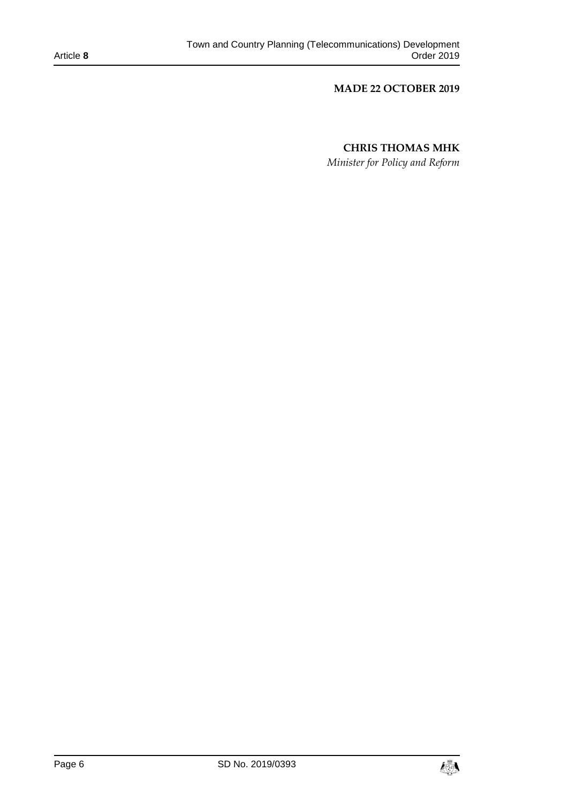#### **MADE 22 OCTOBER 2019**

### **CHRIS THOMAS MHK**

*Minister for Policy and Reform*

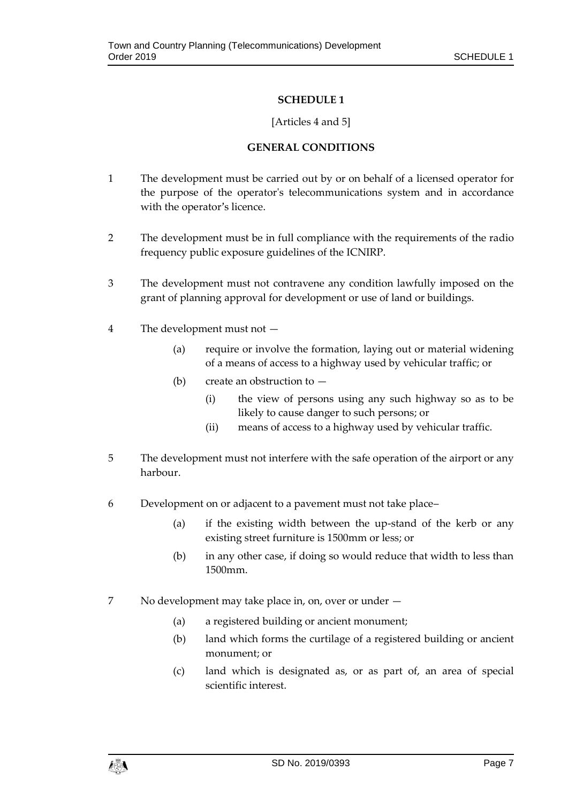#### [Articles 4 and 5]

#### **GENERAL CONDITIONS**

- <span id="page-6-1"></span><span id="page-6-0"></span>1 The development must be carried out by or on behalf of a licensed operator for the purpose of the operator's telecommunications system and in accordance with the operator's licence.
- 2 The development must be in full compliance with the requirements of the radio frequency public exposure guidelines of the ICNIRP.
- 3 The development must not contravene any condition lawfully imposed on the grant of planning approval for development or use of land or buildings.
- 4 The development must not
	- (a) require or involve the formation, laying out or material widening of a means of access to a highway used by vehicular traffic; or
	- (b) create an obstruction to
		- (i) the view of persons using any such highway so as to be likely to cause danger to such persons; or
		- (ii) means of access to a highway used by vehicular traffic.
- 5 The development must not interfere with the safe operation of the airport or any harbour.
- 6 Development on or adjacent to a pavement must not take place–
	- (a) if the existing width between the up-stand of the kerb or any existing street furniture is 1500mm or less; or
	- (b) in any other case, if doing so would reduce that width to less than 1500mm.
- 7 No development may take place in, on, over or under
	- (a) a registered building or ancient monument;
	- (b) land which forms the curtilage of a registered building or ancient monument; or
	- (c) land which is designated as, or as part of, an area of special scientific interest.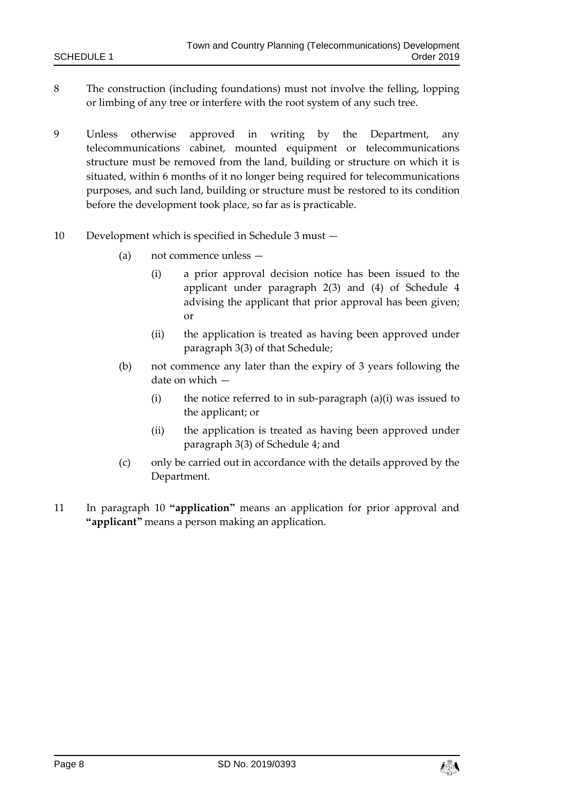- 8 The construction (including foundations) must not involve the felling, lopping or limbing of any tree or interfere with the root system of any such tree.
- 9 Unless otherwise approved in writing by the Department, any telecommunications cabinet, mounted equipment or telecommunications structure must be removed from the land, building or structure on which it is situated, within 6 months of it no longer being required for telecommunications purposes, and such land, building or structure must be restored to its condition before the development took place, so far as is practicable.
- 10 Development which is specified in Schedule 3 must
	- (a) not commence unless
		- (i) a prior approval decision notice has been issued to the applicant under paragraph 2(3) and (4) of Schedule 4 advising the applicant that prior approval has been given; or
		- (ii) the application is treated as having been approved under paragraph 3(3) of that Schedule;
	- (b) not commence any later than the expiry of 3 years following the date on which —
		- (i) the notice referred to in sub-paragraph  $(a)(i)$  was issued to the applicant; or
		- (ii) the application is treated as having been approved under paragraph 3(3) of Schedule 4; and
	- (c) only be carried out in accordance with the details approved by the Department.
- 11 In paragraph 10 **"application"** means an application for prior approval and **"applicant"** means a person making an application.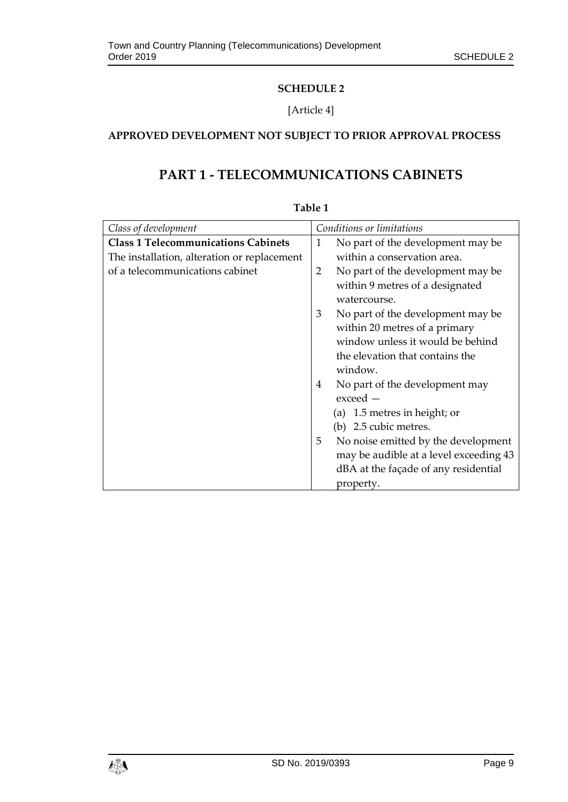### [Article 4]

## <span id="page-8-1"></span><span id="page-8-0"></span>**APPROVED DEVELOPMENT NOT SUBJECT TO PRIOR APPROVAL PROCESS**

## **PART 1 - TELECOMMUNICATIONS CABINETS**

| Class of development                        | Conditions or limitations                |
|---------------------------------------------|------------------------------------------|
| <b>Class 1 Telecommunications Cabinets</b>  | No part of the development may be<br>1   |
| The installation, alteration or replacement | within a conservation area.              |
| of a telecommunications cabinet             | No part of the development may be<br>2   |
|                                             | within 9 metres of a designated          |
|                                             | watercourse.                             |
|                                             | 3<br>No part of the development may be   |
|                                             | within 20 metres of a primary            |
|                                             | window unless it would be behind         |
|                                             | the elevation that contains the          |
|                                             | window.                                  |
|                                             | No part of the development may<br>4      |
|                                             | $exceed -$                               |
|                                             | (a) 1.5 metres in height; or             |
|                                             | (b) 2.5 cubic metres.                    |
|                                             | No noise emitted by the development<br>5 |
|                                             | may be audible at a level exceeding 43   |
|                                             | dBA at the façade of any residential     |
|                                             | property.                                |

#### **Table 1**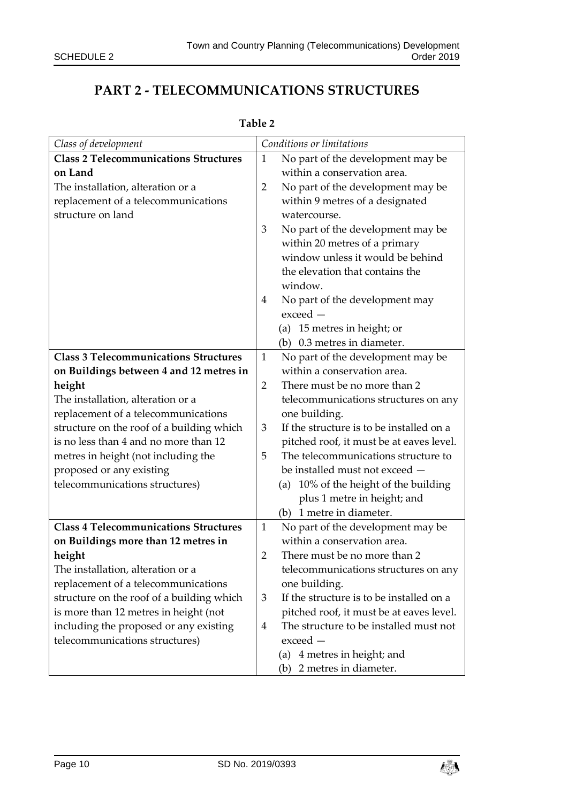## **PART 2 - TELECOMMUNICATIONS STRUCTURES**

| Class of development                         |                | Conditions or limitations                |
|----------------------------------------------|----------------|------------------------------------------|
| <b>Class 2 Telecommunications Structures</b> | 1              | No part of the development may be        |
| on Land                                      |                | within a conservation area.              |
| The installation, alteration or a            | 2              | No part of the development may be        |
| replacement of a telecommunications          |                | within 9 metres of a designated          |
| structure on land                            |                | watercourse.                             |
|                                              | 3              | No part of the development may be        |
|                                              |                | within 20 metres of a primary            |
|                                              |                | window unless it would be behind         |
|                                              |                | the elevation that contains the          |
|                                              |                | window.                                  |
|                                              | 4              | No part of the development may           |
|                                              |                | exceed -                                 |
|                                              |                | (a) 15 metres in height; or              |
|                                              |                | (b) 0.3 metres in diameter.              |
| <b>Class 3 Telecommunications Structures</b> | $\mathbf{1}$   | No part of the development may be        |
| on Buildings between 4 and 12 metres in      |                | within a conservation area.              |
| height                                       | $\overline{2}$ | There must be no more than 2             |
| The installation, alteration or a            |                | telecommunications structures on any     |
| replacement of a telecommunications          |                | one building.                            |
| structure on the roof of a building which    | 3              | If the structure is to be installed on a |
| is no less than 4 and no more than 12        |                | pitched roof, it must be at eaves level. |
| metres in height (not including the          | 5              | The telecommunications structure to      |
| proposed or any existing                     |                | be installed must not exceed —           |
| telecommunications structures)               |                | (a) 10% of the height of the building    |
|                                              |                | plus 1 metre in height; and              |
|                                              |                | (b) 1 metre in diameter.                 |
| <b>Class 4 Telecommunications Structures</b> | $\mathbf{1}$   | No part of the development may be        |
| on Buildings more than 12 metres in          |                | within a conservation area.              |
| height                                       | $\overline{2}$ | There must be no more than 2             |
| The installation, alteration or a            |                | telecommunications structures on any     |
| replacement of a telecommunications          |                | one building.                            |
| structure on the roof of a building which    | 3              | If the structure is to be installed on a |
| is more than 12 metres in height (not        |                | pitched roof, it must be at eaves level. |
| including the proposed or any existing       | 4              | The structure to be installed must not   |

#### **Table 2**

telecommunications structures)

exceed —

(a) 4 metres in height; and (b) 2 metres in diameter.

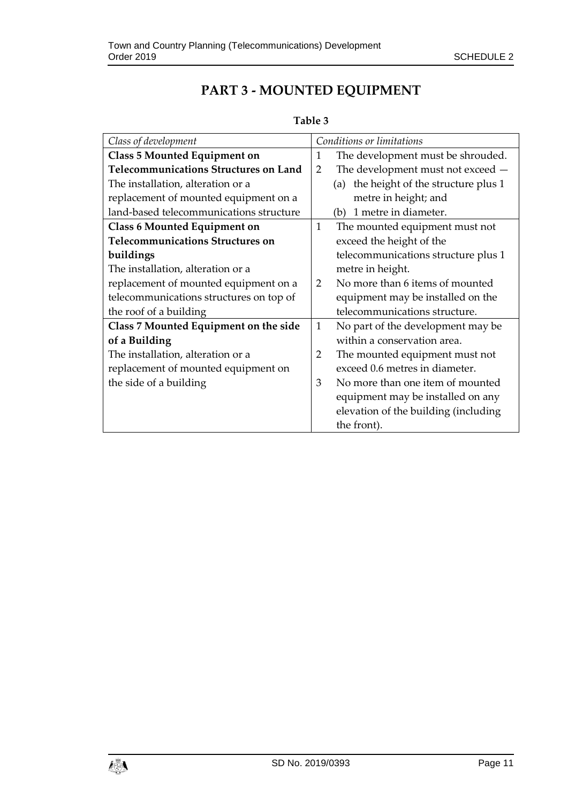## **PART 3 - MOUNTED EQUIPMENT**

## **Table 3**

| Class of development                         | Conditions or limitations                        |
|----------------------------------------------|--------------------------------------------------|
| <b>Class 5 Mounted Equipment on</b>          | The development must be shrouded.<br>1           |
| <b>Telecommunications Structures on Land</b> | The development must not exceed -<br>2           |
| The installation, alteration or a            | the height of the structure plus 1<br>(a)        |
| replacement of mounted equipment on a        | metre in height; and                             |
| land-based telecommunications structure      | 1 metre in diameter.<br>(b)                      |
| <b>Class 6 Mounted Equipment on</b>          | The mounted equipment must not<br>$\mathbf{1}$   |
| <b>Telecommunications Structures on</b>      | exceed the height of the                         |
| buildings                                    | telecommunications structure plus 1              |
| The installation, alteration or a            | metre in height.                                 |
| replacement of mounted equipment on a        | No more than 6 items of mounted<br>$\mathcal{D}$ |
| telecommunications structures on top of      | equipment may be installed on the                |
| the roof of a building                       | telecommunications structure.                    |
| Class 7 Mounted Equipment on the side        | No part of the development may be<br>1           |
| of a Building                                | within a conservation area.                      |
| The installation, alteration or a            | 2<br>The mounted equipment must not              |
| replacement of mounted equipment on          | exceed 0.6 metres in diameter.                   |
| the side of a building                       | No more than one item of mounted<br>3            |
|                                              | equipment may be installed on any                |
|                                              | elevation of the building (including             |
|                                              | the front).                                      |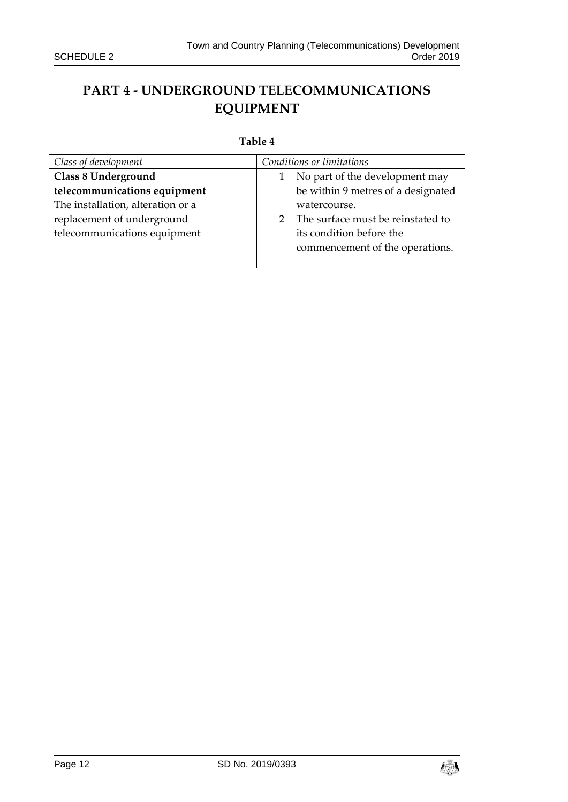## **PART 4 - UNDERGROUND TELECOMMUNICATIONS EQUIPMENT**

#### **Table 4**

| Class of development              | Conditions or limitations              |
|-----------------------------------|----------------------------------------|
| Class 8 Underground               | No part of the development may         |
| telecommunications equipment      | be within 9 metres of a designated     |
| The installation, alteration or a | watercourse.                           |
| replacement of underground        | The surface must be reinstated to<br>2 |
| telecommunications equipment      | its condition before the               |
|                                   | commencement of the operations.        |
|                                   |                                        |

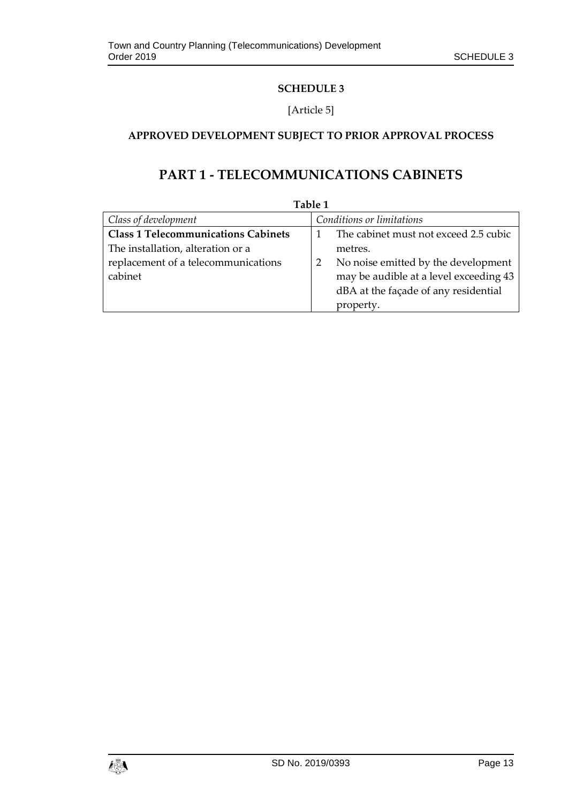### [Article 5]

## <span id="page-12-1"></span><span id="page-12-0"></span>**APPROVED DEVELOPMENT SUBJECT TO PRIOR APPROVAL PROCESS**

## **PART 1 - TELECOMMUNICATIONS CABINETS**

| Table 1                                    |                                        |  |
|--------------------------------------------|----------------------------------------|--|
| Class of development                       | Conditions or limitations              |  |
| <b>Class 1 Telecommunications Cabinets</b> | The cabinet must not exceed 2.5 cubic  |  |
| The installation, alteration or a          | metres.                                |  |
| replacement of a telecommunications        | No noise emitted by the development    |  |
| cabinet                                    | may be audible at a level exceeding 43 |  |
|                                            | dBA at the façade of any residential   |  |
|                                            | property.                              |  |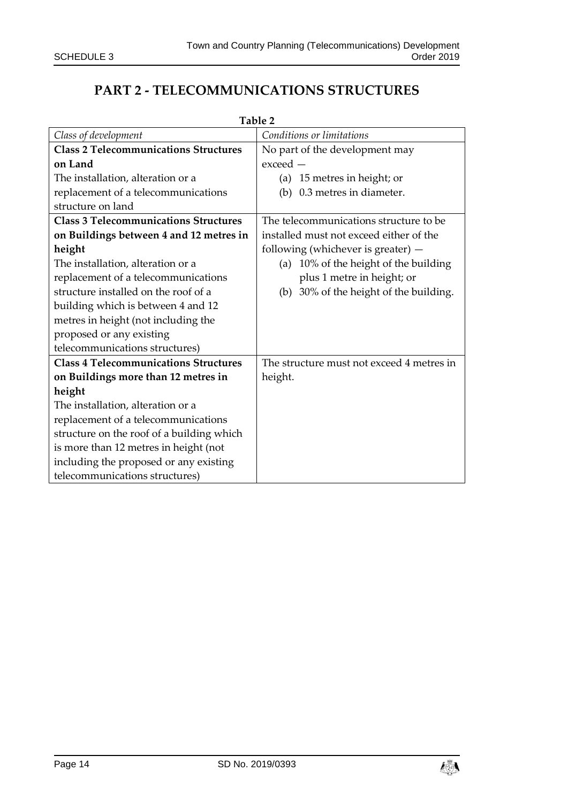## **PART 2 - TELECOMMUNICATIONS STRUCTURES**

| Table 2                                      |                                           |  |
|----------------------------------------------|-------------------------------------------|--|
| Class of development                         | Conditions or limitations                 |  |
| <b>Class 2 Telecommunications Structures</b> | No part of the development may            |  |
| on Land                                      | $exceed -$                                |  |
| The installation, alteration or a            | (a) 15 metres in height; or               |  |
| replacement of a telecommunications          | 0.3 metres in diameter.<br>(b)            |  |
| structure on land                            |                                           |  |
| <b>Class 3 Telecommunications Structures</b> | The telecommunications structure to be    |  |
| on Buildings between 4 and 12 metres in      | installed must not exceed either of the   |  |
| height                                       | following (whichever is greater) $-$      |  |
| The installation, alteration or a            | 10% of the height of the building<br>(a)  |  |
| replacement of a telecommunications          | plus 1 metre in height; or                |  |
| structure installed on the roof of a         | (b) 30% of the height of the building.    |  |
| building which is between 4 and 12           |                                           |  |
| metres in height (not including the          |                                           |  |
| proposed or any existing                     |                                           |  |
| telecommunications structures)               |                                           |  |
| <b>Class 4 Telecommunications Structures</b> | The structure must not exceed 4 metres in |  |
| on Buildings more than 12 metres in          | height.                                   |  |
| height                                       |                                           |  |
| The installation, alteration or a            |                                           |  |
| replacement of a telecommunications          |                                           |  |
| structure on the roof of a building which    |                                           |  |
| is more than 12 metres in height (not        |                                           |  |
| including the proposed or any existing       |                                           |  |
| telecommunications structures)               |                                           |  |

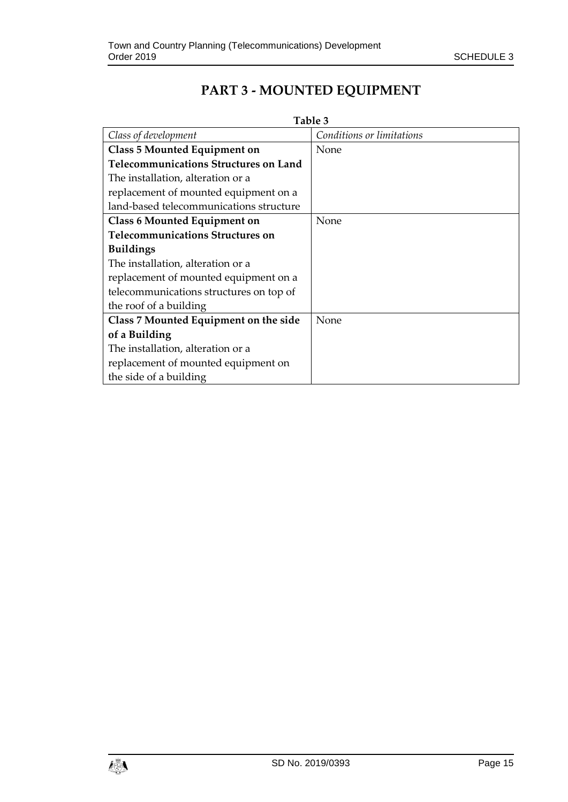## **PART 3 - MOUNTED EQUIPMENT**

| m<br>, ,<br>n |  |
|---------------|--|
|---------------|--|

| Class of development                         | Conditions or limitations |
|----------------------------------------------|---------------------------|
| Class 5 Mounted Equipment on                 | None                      |
| <b>Telecommunications Structures on Land</b> |                           |
| The installation, alteration or a            |                           |
| replacement of mounted equipment on a        |                           |
| land-based telecommunications structure      |                           |
| <b>Class 6 Mounted Equipment on</b>          | None                      |
| <b>Telecommunications Structures on</b>      |                           |
| <b>Buildings</b>                             |                           |
| The installation, alteration or a            |                           |
| replacement of mounted equipment on a        |                           |
| telecommunications structures on top of      |                           |
| the roof of a building                       |                           |
| Class 7 Mounted Equipment on the side        | None                      |
| of a Building                                |                           |
| The installation, alteration or a            |                           |
| replacement of mounted equipment on          |                           |
| the side of a building                       |                           |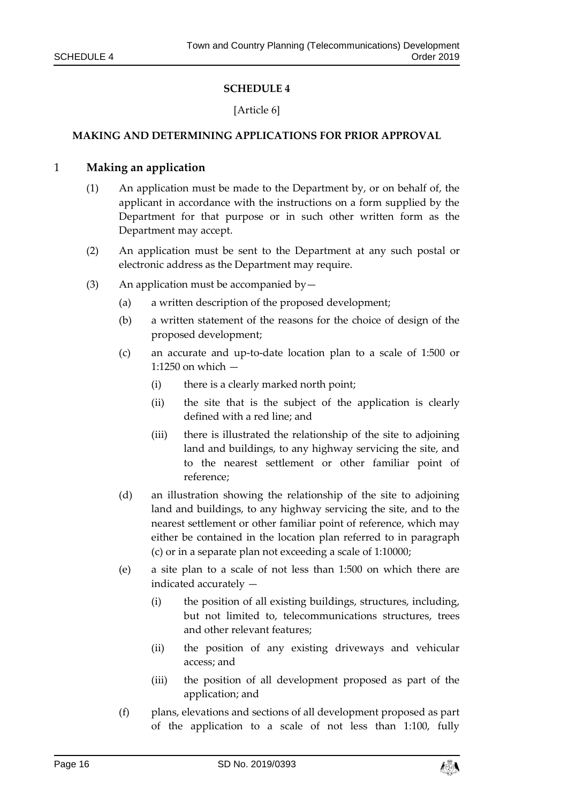#### [Article 6]

#### <span id="page-15-1"></span><span id="page-15-0"></span>**MAKING AND DETERMINING APPLICATIONS FOR PRIOR APPROVAL**

#### 1 **Making an application**

- (1) An application must be made to the Department by, or on behalf of, the applicant in accordance with the instructions on a form supplied by the Department for that purpose or in such other written form as the Department may accept.
- (2) An application must be sent to the Department at any such postal or electronic address as the Department may require.
- (3) An application must be accompanied by—
	- (a) a written description of the proposed development;
	- (b) a written statement of the reasons for the choice of design of the proposed development;
	- (c) an accurate and up-to-date location plan to a scale of 1:500 or 1:1250 on which —
		- (i) there is a clearly marked north point;
		- (ii) the site that is the subject of the application is clearly defined with a red line; and
		- (iii) there is illustrated the relationship of the site to adjoining land and buildings, to any highway servicing the site, and to the nearest settlement or other familiar point of reference;
	- (d) an illustration showing the relationship of the site to adjoining land and buildings, to any highway servicing the site, and to the nearest settlement or other familiar point of reference, which may either be contained in the location plan referred to in paragraph (c) or in a separate plan not exceeding a scale of 1:10000;
	- (e) a site plan to a scale of not less than 1:500 on which there are indicated accurately —
		- (i) the position of all existing buildings, structures, including, but not limited to, telecommunications structures, trees and other relevant features;
		- (ii) the position of any existing driveways and vehicular access; and
		- (iii) the position of all development proposed as part of the application; and
	- (f) plans, elevations and sections of all development proposed as part of the application to a scale of not less than 1:100, fully

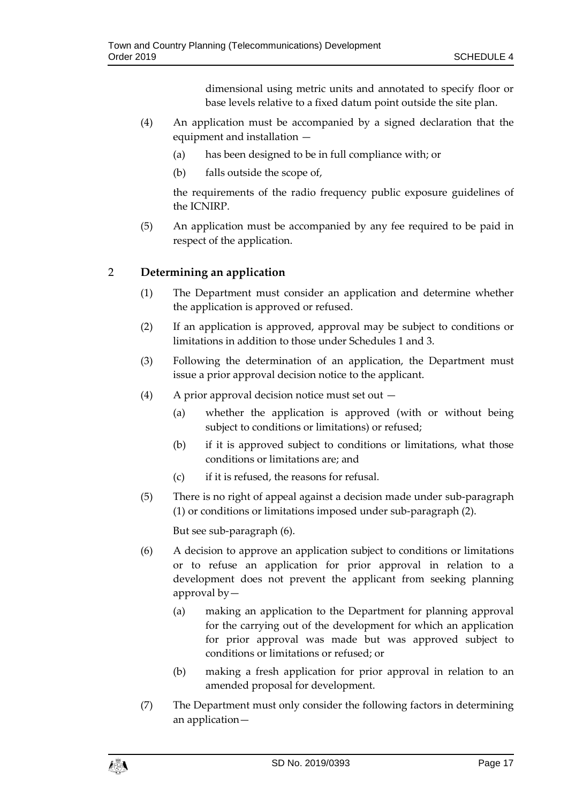dimensional using metric units and annotated to specify floor or base levels relative to a fixed datum point outside the site plan.

- (4) An application must be accompanied by a signed declaration that the equipment and installation —
	- (a) has been designed to be in full compliance with; or
	- (b) falls outside the scope of,

the requirements of the radio frequency public exposure guidelines of the ICNIRP.

(5) An application must be accompanied by any fee required to be paid in respect of the application.

### 2 **Determining an application**

- (1) The Department must consider an application and determine whether the application is approved or refused.
- (2) If an application is approved, approval may be subject to conditions or limitations in addition to those under Schedules 1 and 3.
- (3) Following the determination of an application, the Department must issue a prior approval decision notice to the applicant.
- (4) A prior approval decision notice must set out
	- (a) whether the application is approved (with or without being subject to conditions or limitations) or refused;
	- (b) if it is approved subject to conditions or limitations, what those conditions or limitations are; and
	- (c) if it is refused, the reasons for refusal.
- (5) There is no right of appeal against a decision made under sub-paragraph (1) or conditions or limitations imposed under sub-paragraph (2).

But see sub-paragraph (6).

- (6) A decision to approve an application subject to conditions or limitations or to refuse an application for prior approval in relation to a development does not prevent the applicant from seeking planning approval by—
	- (a) making an application to the Department for planning approval for the carrying out of the development for which an application for prior approval was made but was approved subject to conditions or limitations or refused; or
	- (b) making a fresh application for prior approval in relation to an amended proposal for development.
- (7) The Department must only consider the following factors in determining an application—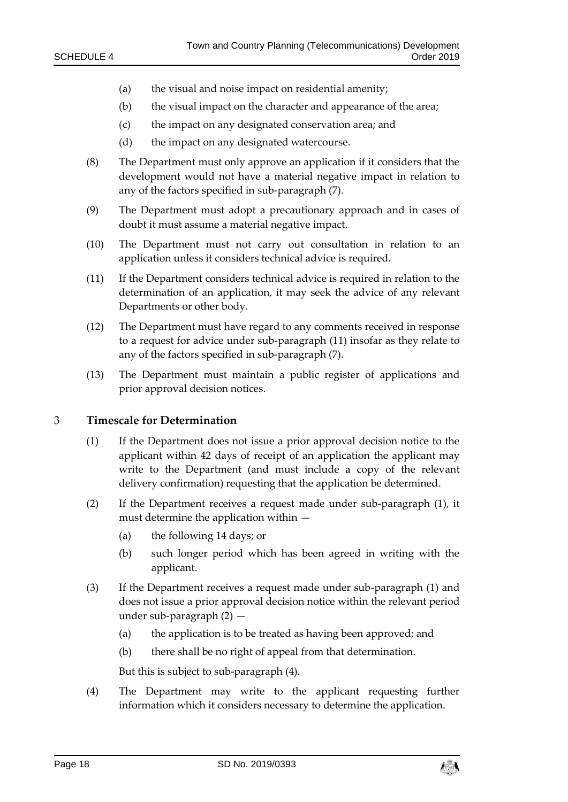- (a) the visual and noise impact on residential amenity;
- (b) the visual impact on the character and appearance of the area;
- (c) the impact on any designated conservation area; and
- (d) the impact on any designated watercourse.
- (8) The Department must only approve an application if it considers that the development would not have a material negative impact in relation to any of the factors specified in sub-paragraph (7).
- (9) The Department must adopt a precautionary approach and in cases of doubt it must assume a material negative impact.
- (10) The Department must not carry out consultation in relation to an application unless it considers technical advice is required.
- (11) If the Department considers technical advice is required in relation to the determination of an application, it may seek the advice of any relevant Departments or other body.
- (12) The Department must have regard to any comments received in response to a request for advice under sub-paragraph (11) insofar as they relate to any of the factors specified in sub-paragraph (7).
- (13) The Department must maintain a public register of applications and prior approval decision notices.

#### 3 **Timescale for Determination**

- (1) If the Department does not issue a prior approval decision notice to the applicant within 42 days of receipt of an application the applicant may write to the Department (and must include a copy of the relevant delivery confirmation) requesting that the application be determined.
- (2) If the Department receives a request made under sub-paragraph (1), it must determine the application within —
	- (a) the following 14 days; or
	- (b) such longer period which has been agreed in writing with the applicant.
- (3) If the Department receives a request made under sub-paragraph (1) and does not issue a prior approval decision notice within the relevant period under sub-paragraph (2) —
	- (a) the application is to be treated as having been approved; and
	- (b) there shall be no right of appeal from that determination.

But this is subject to sub-paragraph (4).

(4) The Department may write to the applicant requesting further information which it considers necessary to determine the application.

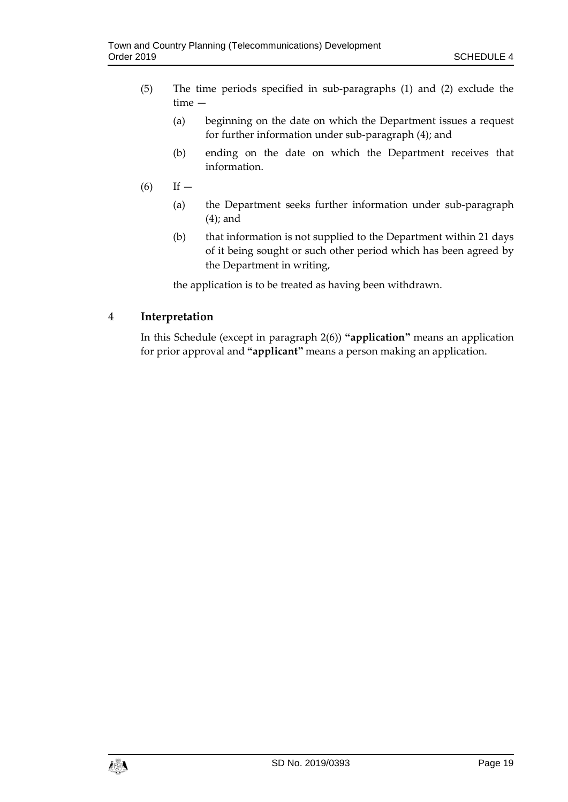- (5) The time periods specified in sub-paragraphs (1) and (2) exclude the time —
	- (a) beginning on the date on which the Department issues a request for further information under sub-paragraph (4); and
	- (b) ending on the date on which the Department receives that information.
- $(6)$  If
	- (a) the Department seeks further information under sub-paragraph (4); and
	- (b) that information is not supplied to the Department within 21 days of it being sought or such other period which has been agreed by the Department in writing,

the application is to be treated as having been withdrawn.

### 4 **Interpretation**

In this Schedule (except in paragraph 2(6)) **"application"** means an application for prior approval and **"applicant"** means a person making an application.